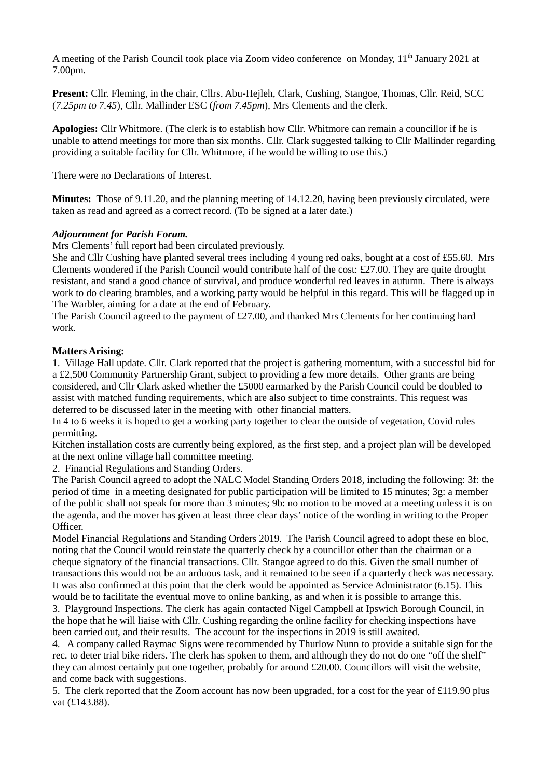A meeting of the Parish Council took place via Zoom video conference on Monday,  $11<sup>th</sup>$  January 2021 at 7.00pm.

**Present:** Cllr. Fleming, in the chair, Cllrs. Abu-Hejleh, Clark, Cushing, Stangoe, Thomas, Cllr. Reid, SCC (*7.25pm to 7.45*), Cllr. Mallinder ESC (*from 7.45pm*), Mrs Clements and the clerk.

**Apologies:** Cllr Whitmore. (The clerk is to establish how Cllr. Whitmore can remain a councillor if he is unable to attend meetings for more than six months. Cllr. Clark suggested talking to Cllr Mallinder regarding providing a suitable facility for Cllr. Whitmore, if he would be willing to use this.)

There were no Declarations of Interest.

**Minutes: T**hose of 9.11.20, and the planning meeting of 14.12.20, having been previously circulated, were taken as read and agreed as a correct record. (To be signed at a later date.)

# *Adjournment for Parish Forum.*

Mrs Clements' full report had been circulated previously.

She and Cllr Cushing have planted several trees including 4 young red oaks, bought at a cost of £55.60. Mrs Clements wondered if the Parish Council would contribute half of the cost: £27.00. They are quite drought resistant, and stand a good chance of survival, and produce wonderful red leaves in autumn. There is always work to do clearing brambles, and a working party would be helpful in this regard. This will be flagged up in The Warbler, aiming for a date at the end of February.

The Parish Council agreed to the payment of £27.00, and thanked Mrs Clements for her continuing hard work.

# **Matters Arising:**

1. Village Hall update. Cllr. Clark reported that the project is gathering momentum, with a successful bid for a £2,500 Community Partnership Grant, subject to providing a few more details. Other grants are being considered, and Cllr Clark asked whether the £5000 earmarked by the Parish Council could be doubled to assist with matched funding requirements, which are also subject to time constraints. This request was deferred to be discussed later in the meeting with other financial matters.

In 4 to 6 weeks it is hoped to get a working party together to clear the outside of vegetation, Covid rules permitting.

Kitchen installation costs are currently being explored, as the first step, and a project plan will be developed at the next online village hall committee meeting.

2. Financial Regulations and Standing Orders.

The Parish Council agreed to adopt the NALC Model Standing Orders 2018, including the following: 3f: the period of time in a meeting designated for public participation will be limited to 15 minutes; 3g: a member of the public shall not speak for more than 3 minutes; 9b: no motion to be moved at a meeting unless it is on the agenda, and the mover has given at least three clear days' notice of the wording in writing to the Proper Officer.

Model Financial Regulations and Standing Orders 2019. The Parish Council agreed to adopt these en bloc, noting that the Council would reinstate the quarterly check by a councillor other than the chairman or a cheque signatory of the financial transactions. Cllr. Stangoe agreed to do this. Given the small number of transactions this would not be an arduous task, and it remained to be seen if a quarterly check was necessary. It was also confirmed at this point that the clerk would be appointed as Service Administrator (6.15). This would be to facilitate the eventual move to online banking, as and when it is possible to arrange this.

3. Playground Inspections. The clerk has again contacted Nigel Campbell at Ipswich Borough Council, in the hope that he will liaise with Cllr. Cushing regarding the online facility for checking inspections have been carried out, and their results. The account for the inspections in 2019 is still awaited.

4. A company called Raymac Signs were recommended by Thurlow Nunn to provide a suitable sign for the rec. to deter trial bike riders. The clerk has spoken to them, and although they do not do one "off the shelf" they can almost certainly put one together, probably for around £20.00. Councillors will visit the website, and come back with suggestions.

5. The clerk reported that the Zoom account has now been upgraded, for a cost for the year of £119.90 plus vat (£143.88).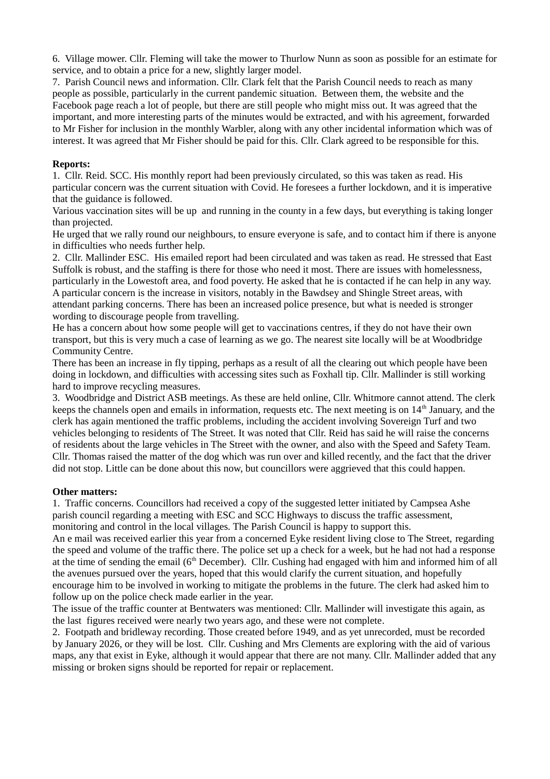6. Village mower. Cllr. Fleming will take the mower to Thurlow Nunn as soon as possible for an estimate for service, and to obtain a price for a new, slightly larger model.

7. Parish Council news and information. Cllr. Clark felt that the Parish Council needs to reach as many people as possible, particularly in the current pandemic situation. Between them, the website and the Facebook page reach a lot of people, but there are still people who might miss out. It was agreed that the important, and more interesting parts of the minutes would be extracted, and with his agreement, forwarded to Mr Fisher for inclusion in the monthly Warbler, along with any other incidental information which was of interest. It was agreed that Mr Fisher should be paid for this. Cllr. Clark agreed to be responsible for this.

## **Reports:**

1. Cllr. Reid. SCC. His monthly report had been previously circulated, so this was taken as read. His particular concern was the current situation with Covid. He foresees a further lockdown, and it is imperative that the guidance is followed.

Various vaccination sites will be up and running in the county in a few days, but everything is taking longer than projected.

He urged that we rally round our neighbours, to ensure everyone is safe, and to contact him if there is anyone in difficulties who needs further help.

2. Cllr. Mallinder ESC. His emailed report had been circulated and was taken as read. He stressed that East Suffolk is robust, and the staffing is there for those who need it most. There are issues with homelessness, particularly in the Lowestoft area, and food poverty. He asked that he is contacted if he can help in any way. A particular concern is the increase in visitors, notably in the Bawdsey and Shingle Street areas, with attendant parking concerns. There has been an increased police presence, but what is needed is stronger wording to discourage people from travelling.

He has a concern about how some people will get to vaccinations centres, if they do not have their own transport, but this is very much a case of learning as we go. The nearest site locally will be at Woodbridge Community Centre.

There has been an increase in fly tipping, perhaps as a result of all the clearing out which people have been doing in lockdown, and difficulties with accessing sites such as Foxhall tip. Cllr. Mallinder is still working hard to improve recycling measures.

3. Woodbridge and District ASB meetings. As these are held online, Cllr. Whitmore cannot attend. The clerk keeps the channels open and emails in information, requests etc. The next meeting is on 14<sup>th</sup> January, and the clerk has again mentioned the traffic problems, including the accident involving Sovereign Turf and two vehicles belonging to residents of The Street. It was noted that Cllr. Reid has said he will raise the concerns of residents about the large vehicles in The Street with the owner, and also with the Speed and Safety Team. Cllr. Thomas raised the matter of the dog which was run over and killed recently, and the fact that the driver did not stop. Little can be done about this now, but councillors were aggrieved that this could happen.

## **Other matters:**

1. Traffic concerns. Councillors had received a copy of the suggested letter initiated by Campsea Ashe parish council regarding a meeting with ESC and SCC Highways to discuss the traffic assessment, monitoring and control in the local villages. The Parish Council is happy to support this.

An e mail was received earlier this year from a concerned Eyke resident living close to The Street, regarding the speed and volume of the traffic there. The police set up a check for a week, but he had not had a response at the time of sending the email  $(6<sup>th</sup> December)$ . Cllr. Cushing had engaged with him and informed him of all the avenues pursued over the years, hoped that this would clarify the current situation, and hopefully encourage him to be involved in working to mitigate the problems in the future. The clerk had asked him to follow up on the police check made earlier in the year.

The issue of the traffic counter at Bentwaters was mentioned: Cllr. Mallinder will investigate this again, as the last figures received were nearly two years ago, and these were not complete.

2. Footpath and bridleway recording. Those created before 1949, and as yet unrecorded, must be recorded by January 2026, or they will be lost. Cllr. Cushing and Mrs Clements are exploring with the aid of various maps, any that exist in Eyke, although it would appear that there are not many. Cllr. Mallinder added that any missing or broken signs should be reported for repair or replacement.